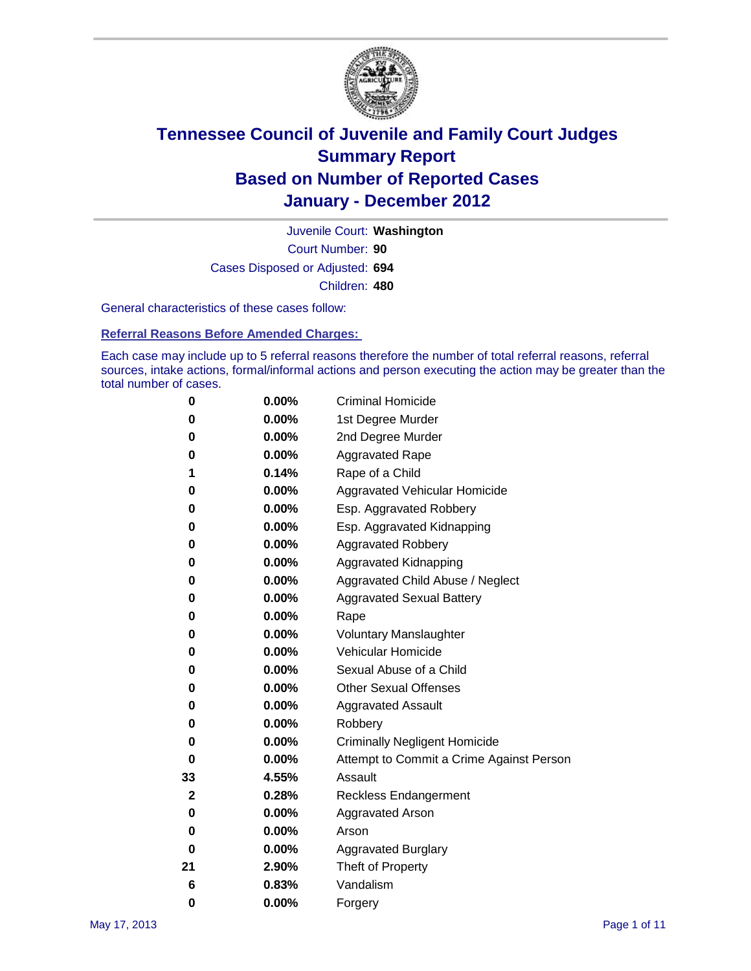

Court Number: **90** Juvenile Court: **Washington** Cases Disposed or Adjusted: **694** Children: **480**

General characteristics of these cases follow:

**Referral Reasons Before Amended Charges:** 

Each case may include up to 5 referral reasons therefore the number of total referral reasons, referral sources, intake actions, formal/informal actions and person executing the action may be greater than the total number of cases.

| 0  | $0.00\%$ | <b>Criminal Homicide</b>                 |  |  |  |
|----|----------|------------------------------------------|--|--|--|
| 0  | 0.00%    | 1st Degree Murder                        |  |  |  |
| 0  | 0.00%    | 2nd Degree Murder                        |  |  |  |
| 0  | 0.00%    | <b>Aggravated Rape</b>                   |  |  |  |
| 1  | 0.14%    | Rape of a Child                          |  |  |  |
| 0  | 0.00%    | Aggravated Vehicular Homicide            |  |  |  |
| 0  | 0.00%    | Esp. Aggravated Robbery                  |  |  |  |
| 0  | 0.00%    | Esp. Aggravated Kidnapping               |  |  |  |
| 0  | 0.00%    | <b>Aggravated Robbery</b>                |  |  |  |
| 0  | 0.00%    | Aggravated Kidnapping                    |  |  |  |
| 0  | 0.00%    | Aggravated Child Abuse / Neglect         |  |  |  |
| 0  | 0.00%    | <b>Aggravated Sexual Battery</b>         |  |  |  |
| 0  | 0.00%    | Rape                                     |  |  |  |
| 0  | $0.00\%$ | <b>Voluntary Manslaughter</b>            |  |  |  |
| 0  | 0.00%    | Vehicular Homicide                       |  |  |  |
| 0  | 0.00%    | Sexual Abuse of a Child                  |  |  |  |
| 0  | 0.00%    | <b>Other Sexual Offenses</b>             |  |  |  |
| 0  | 0.00%    | <b>Aggravated Assault</b>                |  |  |  |
| 0  | 0.00%    | Robbery                                  |  |  |  |
| 0  | 0.00%    | <b>Criminally Negligent Homicide</b>     |  |  |  |
| 0  | 0.00%    | Attempt to Commit a Crime Against Person |  |  |  |
| 33 | 4.55%    | Assault                                  |  |  |  |
| 2  | 0.28%    | <b>Reckless Endangerment</b>             |  |  |  |
| 0  | 0.00%    | <b>Aggravated Arson</b>                  |  |  |  |
| 0  | 0.00%    | Arson                                    |  |  |  |
| 0  | $0.00\%$ | <b>Aggravated Burglary</b>               |  |  |  |
| 21 | 2.90%    | Theft of Property                        |  |  |  |
| 6  | 0.83%    | Vandalism                                |  |  |  |
| 0  | 0.00%    | Forgery                                  |  |  |  |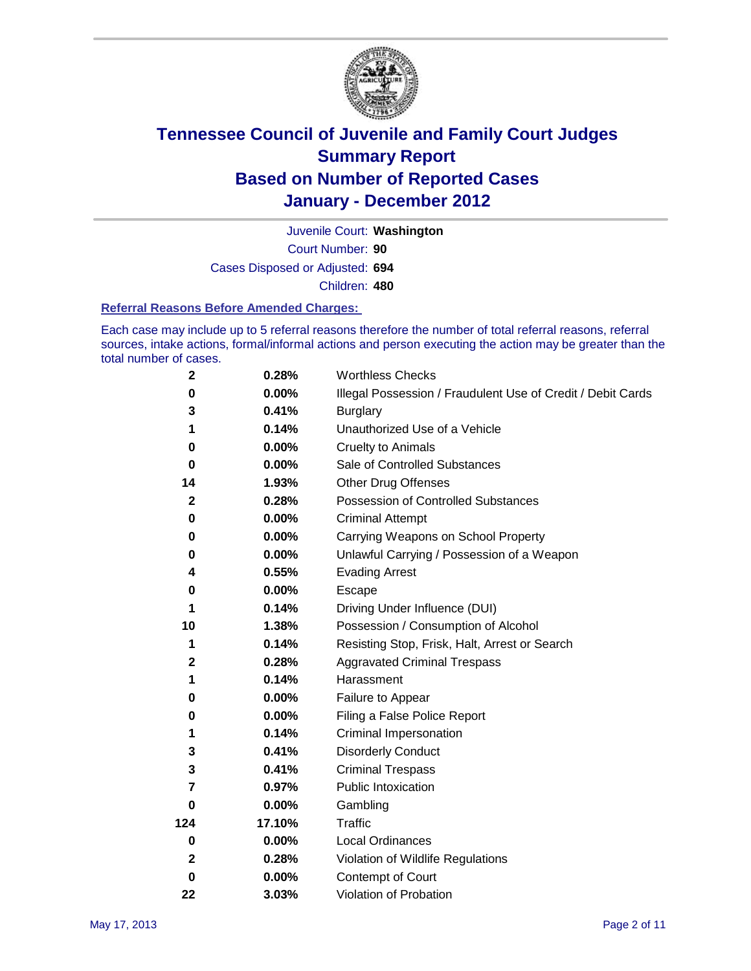

Court Number: **90** Juvenile Court: **Washington** Cases Disposed or Adjusted: **694** Children: **480**

#### **Referral Reasons Before Amended Charges:**

Each case may include up to 5 referral reasons therefore the number of total referral reasons, referral sources, intake actions, formal/informal actions and person executing the action may be greater than the total number of cases.

| $\boldsymbol{2}$ | 0.28%    | <b>Worthless Checks</b>                                     |  |  |
|------------------|----------|-------------------------------------------------------------|--|--|
| 0                | 0.00%    | Illegal Possession / Fraudulent Use of Credit / Debit Cards |  |  |
| 3                | 0.41%    | <b>Burglary</b>                                             |  |  |
| 1                | 0.14%    | Unauthorized Use of a Vehicle                               |  |  |
| 0                | $0.00\%$ | <b>Cruelty to Animals</b>                                   |  |  |
| $\bf{0}$         | 0.00%    | Sale of Controlled Substances                               |  |  |
| 14               | 1.93%    | <b>Other Drug Offenses</b>                                  |  |  |
| $\mathbf{2}$     | 0.28%    | Possession of Controlled Substances                         |  |  |
| 0                | $0.00\%$ | <b>Criminal Attempt</b>                                     |  |  |
| 0                | 0.00%    | Carrying Weapons on School Property                         |  |  |
| 0                | $0.00\%$ | Unlawful Carrying / Possession of a Weapon                  |  |  |
| 4                | 0.55%    | <b>Evading Arrest</b>                                       |  |  |
| 0                | 0.00%    | Escape                                                      |  |  |
| 1                | 0.14%    | Driving Under Influence (DUI)                               |  |  |
| 10               | 1.38%    | Possession / Consumption of Alcohol                         |  |  |
| 1                | 0.14%    | Resisting Stop, Frisk, Halt, Arrest or Search               |  |  |
| 2                | 0.28%    | <b>Aggravated Criminal Trespass</b>                         |  |  |
| 1                | 0.14%    | Harassment                                                  |  |  |
| 0                | 0.00%    | Failure to Appear                                           |  |  |
| 0                | 0.00%    | Filing a False Police Report                                |  |  |
| 1                | 0.14%    | Criminal Impersonation                                      |  |  |
| 3                | 0.41%    | <b>Disorderly Conduct</b>                                   |  |  |
| 3                | 0.41%    | <b>Criminal Trespass</b>                                    |  |  |
| 7                | 0.97%    | Public Intoxication                                         |  |  |
| 0                | $0.00\%$ | Gambling                                                    |  |  |
| 124              | 17.10%   | Traffic                                                     |  |  |
| 0                | $0.00\%$ | <b>Local Ordinances</b>                                     |  |  |
| 2                | 0.28%    | Violation of Wildlife Regulations                           |  |  |
| 0                | $0.00\%$ | Contempt of Court                                           |  |  |
| 22               | 3.03%    | Violation of Probation                                      |  |  |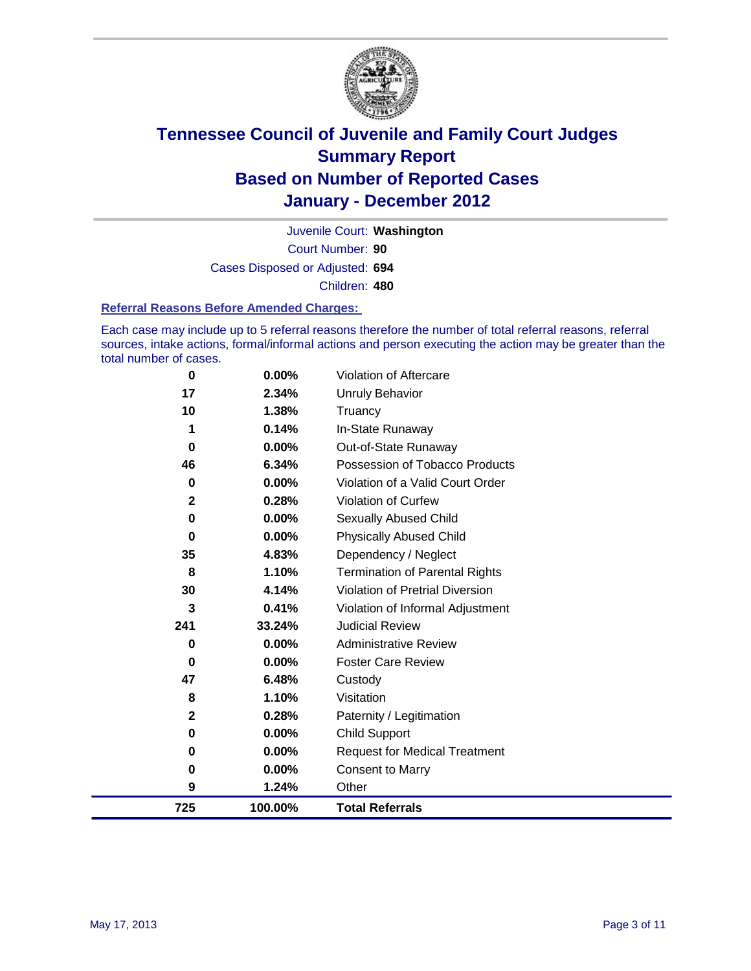

Court Number: **90** Juvenile Court: **Washington** Cases Disposed or Adjusted: **694** Children: **480**

#### **Referral Reasons Before Amended Charges:**

Each case may include up to 5 referral reasons therefore the number of total referral reasons, referral sources, intake actions, formal/informal actions and person executing the action may be greater than the total number of cases.

| 0            | 0.00%    | Violation of Aftercare                 |
|--------------|----------|----------------------------------------|
| 17           | 2.34%    | Unruly Behavior                        |
| 10           | 1.38%    | Truancy                                |
|              | 0.14%    | In-State Runaway                       |
| $\bf{0}$     | 0.00%    | Out-of-State Runaway                   |
| 46           | 6.34%    | Possession of Tobacco Products         |
| 0            | $0.00\%$ | Violation of a Valid Court Order       |
| $\mathbf{2}$ | 0.28%    | <b>Violation of Curfew</b>             |
| 0            | $0.00\%$ | <b>Sexually Abused Child</b>           |
| $\bf{0}$     | 0.00%    | <b>Physically Abused Child</b>         |
| 35           | 4.83%    | Dependency / Neglect                   |
| 8            | 1.10%    | <b>Termination of Parental Rights</b>  |
| 30           | 4.14%    | <b>Violation of Pretrial Diversion</b> |
| 3            | 0.41%    | Violation of Informal Adjustment       |
| 241          | 33.24%   | <b>Judicial Review</b>                 |
| 0            | 0.00%    | <b>Administrative Review</b>           |
| $\bf{0}$     | 0.00%    | <b>Foster Care Review</b>              |
| 47           | 6.48%    | Custody                                |
| 8            | 1.10%    | Visitation                             |
| 2            | 0.28%    | Paternity / Legitimation               |
| 0            | 0.00%    | <b>Child Support</b>                   |
| 0            | 0.00%    | <b>Request for Medical Treatment</b>   |
| 0            | 0.00%    | <b>Consent to Marry</b>                |
| 9            | 1.24%    | Other                                  |
| 725          | 100.00%  | <b>Total Referrals</b>                 |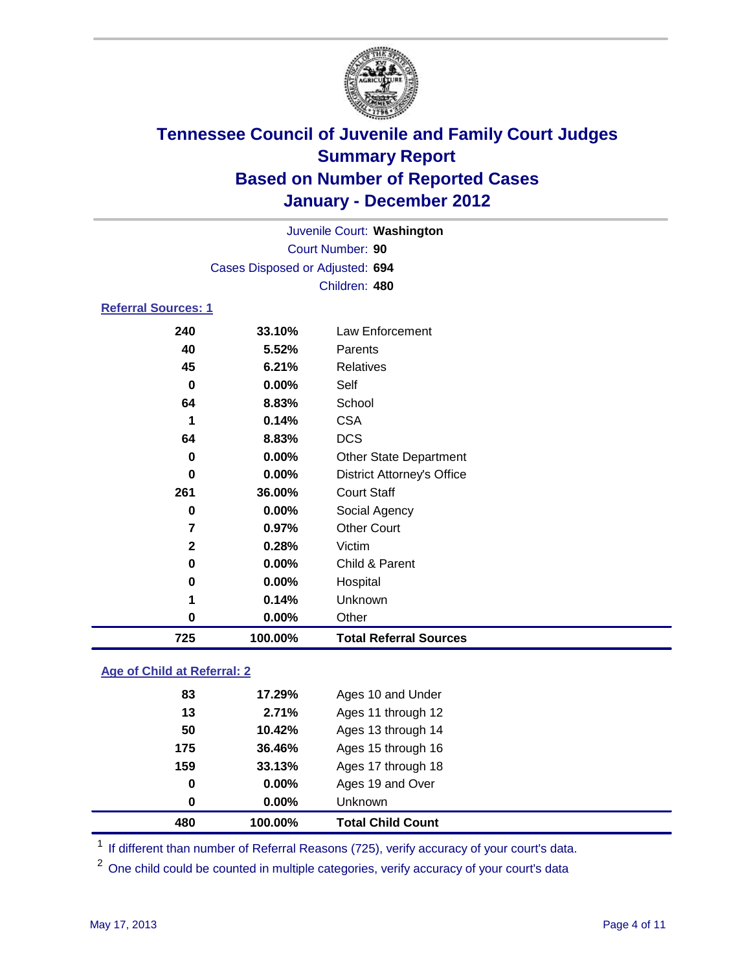

|                            |                                 | Juvenile Court: Washington        |  |  |  |
|----------------------------|---------------------------------|-----------------------------------|--|--|--|
|                            |                                 | Court Number: 90                  |  |  |  |
|                            | Cases Disposed or Adjusted: 694 |                                   |  |  |  |
|                            |                                 | Children: 480                     |  |  |  |
| <b>Referral Sources: 1</b> |                                 |                                   |  |  |  |
| 240                        | 33.10%                          | Law Enforcement                   |  |  |  |
| 40                         | 5.52%                           | Parents                           |  |  |  |
| 45                         | 6.21%                           | <b>Relatives</b>                  |  |  |  |
| 0                          | $0.00\%$                        | Self                              |  |  |  |
| 64                         | 8.83%                           | School                            |  |  |  |
| 1                          | 0.14%                           | <b>CSA</b>                        |  |  |  |
| 64                         | 8.83%                           | <b>DCS</b>                        |  |  |  |
| 0                          | 0.00%                           | <b>Other State Department</b>     |  |  |  |
| 0                          | $0.00\%$                        | <b>District Attorney's Office</b> |  |  |  |
| 261                        | 36.00%                          | <b>Court Staff</b>                |  |  |  |
| 0                          | $0.00\%$                        | Social Agency                     |  |  |  |
| 7                          | 0.97%                           | <b>Other Court</b>                |  |  |  |
| $\mathbf{2}$               | 0.28%                           | Victim                            |  |  |  |
| 0                          | $0.00\%$                        | Child & Parent                    |  |  |  |
| 0                          | $0.00\%$                        | Hospital                          |  |  |  |
| 1                          | 0.14%                           | Unknown                           |  |  |  |
| 0                          | $0.00\%$                        | Other                             |  |  |  |

### **Age of Child at Referral: 2**

| 480 | 100.00%  | <b>Total Child Count</b> |
|-----|----------|--------------------------|
| 0   | 0.00%    | <b>Unknown</b>           |
| 0   | $0.00\%$ | Ages 19 and Over         |
| 159 | 33.13%   | Ages 17 through 18       |
| 175 | 36.46%   | Ages 15 through 16       |
| 50  | 10.42%   | Ages 13 through 14       |
| 13  | 2.71%    | Ages 11 through 12       |
| 83  | 17.29%   | Ages 10 and Under        |
|     |          |                          |

<sup>1</sup> If different than number of Referral Reasons (725), verify accuracy of your court's data.

**100.00% Total Referral Sources**

<sup>2</sup> One child could be counted in multiple categories, verify accuracy of your court's data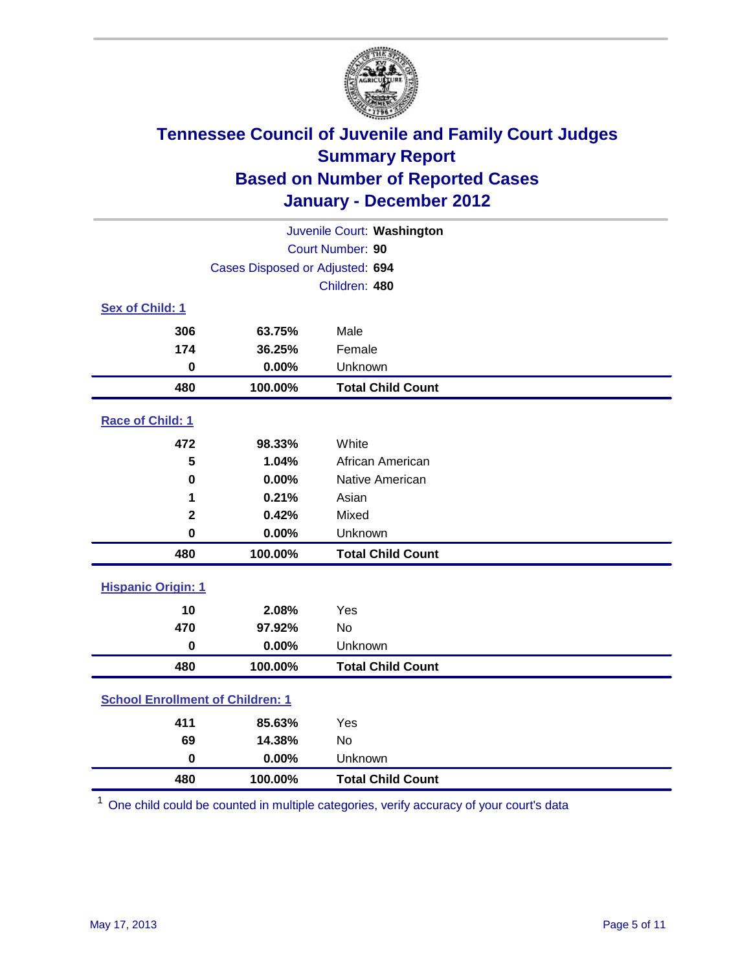

| Juvenile Court: Washington              |                                 |                          |  |  |  |
|-----------------------------------------|---------------------------------|--------------------------|--|--|--|
|                                         | Court Number: 90                |                          |  |  |  |
|                                         | Cases Disposed or Adjusted: 694 |                          |  |  |  |
|                                         |                                 | Children: 480            |  |  |  |
| Sex of Child: 1                         |                                 |                          |  |  |  |
| 306                                     | 63.75%                          | Male                     |  |  |  |
| 174                                     | 36.25%                          | Female                   |  |  |  |
| $\mathbf 0$                             | 0.00%                           | Unknown                  |  |  |  |
| 480                                     | 100.00%                         | <b>Total Child Count</b> |  |  |  |
| Race of Child: 1                        |                                 |                          |  |  |  |
| 472                                     | 98.33%                          | White                    |  |  |  |
| 5                                       | 1.04%                           | African American         |  |  |  |
| $\mathbf 0$                             | 0.00%                           | Native American          |  |  |  |
| 1                                       | 0.21%                           | Asian                    |  |  |  |
| $\mathbf 2$                             | 0.42%                           | Mixed                    |  |  |  |
| $\mathbf 0$                             | 0.00%                           | Unknown                  |  |  |  |
| 480                                     | 100.00%                         | <b>Total Child Count</b> |  |  |  |
| <b>Hispanic Origin: 1</b>               |                                 |                          |  |  |  |
| 10                                      | 2.08%                           | Yes                      |  |  |  |
| 470                                     | 97.92%                          | No                       |  |  |  |
| $\mathbf 0$                             | 0.00%                           | Unknown                  |  |  |  |
| 480                                     | 100.00%                         | <b>Total Child Count</b> |  |  |  |
| <b>School Enrollment of Children: 1</b> |                                 |                          |  |  |  |
| 411                                     | 85.63%                          | Yes                      |  |  |  |
| 69                                      | 14.38%                          | No                       |  |  |  |
| $\mathbf 0$                             | 0.00%                           | Unknown                  |  |  |  |
| 480                                     | 100.00%                         | <b>Total Child Count</b> |  |  |  |

One child could be counted in multiple categories, verify accuracy of your court's data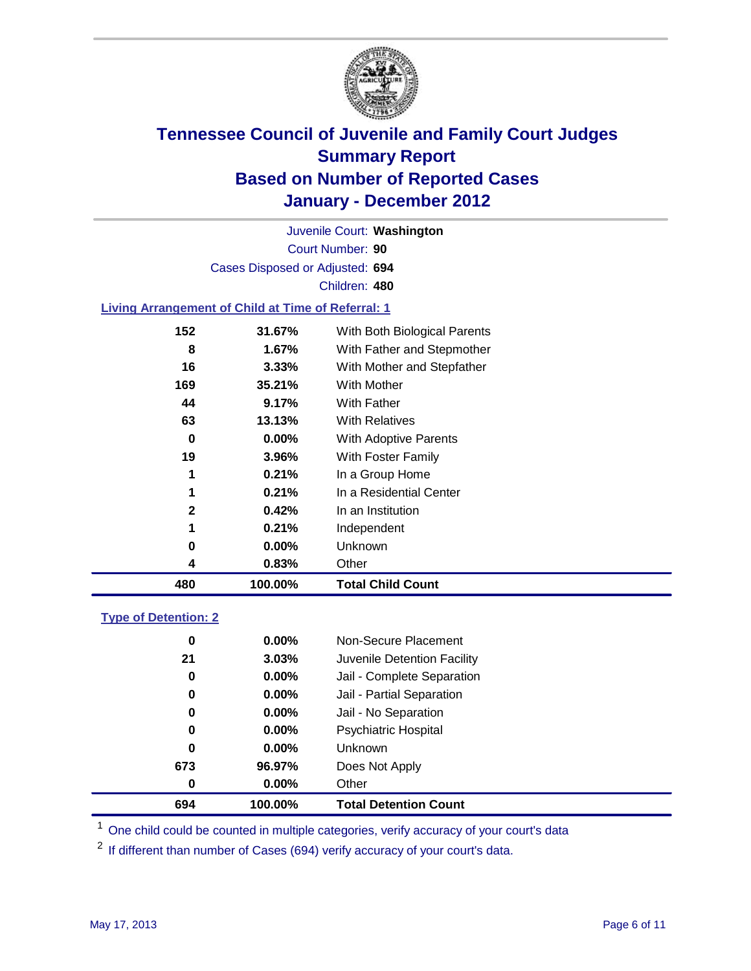

Court Number: **90** Juvenile Court: **Washington** Cases Disposed or Adjusted: **694** Children: **480**

#### **Living Arrangement of Child at Time of Referral: 1**

| 480          | 100.00%  | <b>Total Child Count</b>     |
|--------------|----------|------------------------------|
| 4            | 0.83%    | Other                        |
| 0            | $0.00\%$ | Unknown                      |
| 1            | 0.21%    | Independent                  |
| $\mathbf{2}$ | 0.42%    | In an Institution            |
| 1            | 0.21%    | In a Residential Center      |
| 1            | 0.21%    | In a Group Home              |
| 19           | 3.96%    | With Foster Family           |
| 0            | 0.00%    | With Adoptive Parents        |
| 63           | 13.13%   | <b>With Relatives</b>        |
| 44           | 9.17%    | <b>With Father</b>           |
| 169          | 35.21%   | With Mother                  |
| 16           | 3.33%    | With Mother and Stepfather   |
| 8            | 1.67%    | With Father and Stepmother   |
| 152          | 31.67%   | With Both Biological Parents |
|              |          |                              |

#### **Type of Detention: 2**

| 694      | 100.00%  | <b>Total Detention Count</b> |
|----------|----------|------------------------------|
| $\bf{0}$ | $0.00\%$ | Other                        |
| 673      | 96.97%   | Does Not Apply               |
| 0        | $0.00\%$ | Unknown                      |
| 0        | $0.00\%$ | <b>Psychiatric Hospital</b>  |
| 0        | 0.00%    | Jail - No Separation         |
| 0        | $0.00\%$ | Jail - Partial Separation    |
| 0        | $0.00\%$ | Jail - Complete Separation   |
| 21       | 3.03%    | Juvenile Detention Facility  |
| 0        | $0.00\%$ | Non-Secure Placement         |
|          |          |                              |

<sup>1</sup> One child could be counted in multiple categories, verify accuracy of your court's data

<sup>2</sup> If different than number of Cases (694) verify accuracy of your court's data.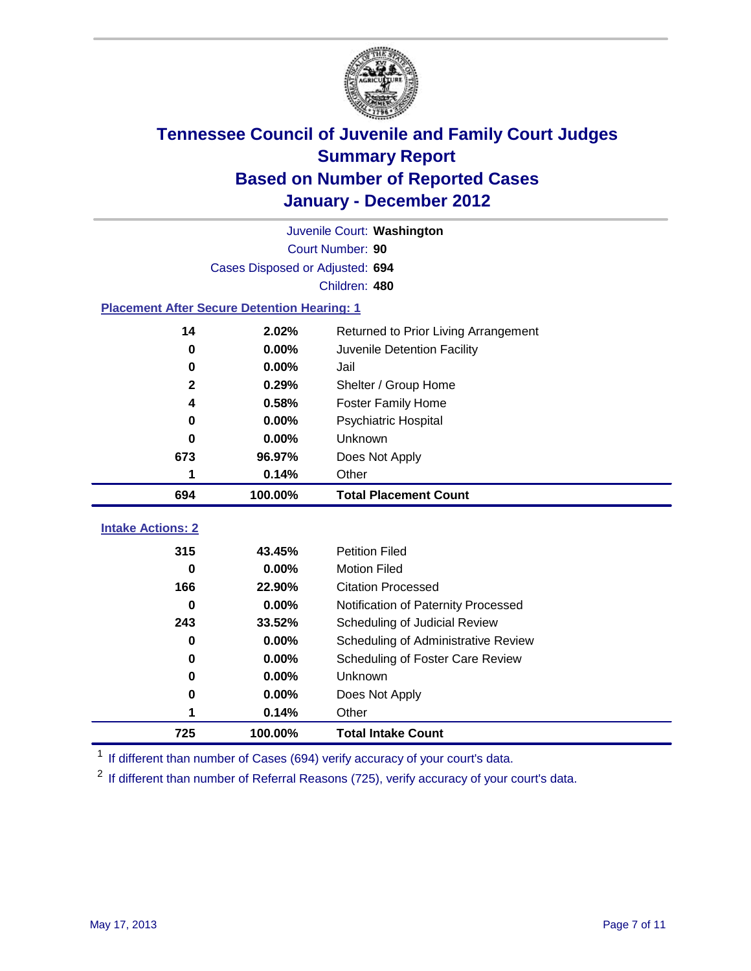

|                                                    | Juvenile Court: Washington      |                                      |  |  |  |  |
|----------------------------------------------------|---------------------------------|--------------------------------------|--|--|--|--|
|                                                    | Court Number: 90                |                                      |  |  |  |  |
|                                                    | Cases Disposed or Adjusted: 694 |                                      |  |  |  |  |
|                                                    | Children: 480                   |                                      |  |  |  |  |
| <b>Placement After Secure Detention Hearing: 1</b> |                                 |                                      |  |  |  |  |
| 14                                                 | 2.02%                           | Returned to Prior Living Arrangement |  |  |  |  |
| 0                                                  | 0.00%                           | Juvenile Detention Facility          |  |  |  |  |
| 0                                                  | 0.00%                           | Jail                                 |  |  |  |  |
| $\mathbf{2}$                                       | 0.29%                           | Shelter / Group Home                 |  |  |  |  |
| 4                                                  | 0.58%                           | <b>Foster Family Home</b>            |  |  |  |  |
| 0                                                  | 0.00%                           | Psychiatric Hospital                 |  |  |  |  |
| 0                                                  | 0.00%                           | <b>Unknown</b>                       |  |  |  |  |
| 673                                                | 96.97%                          | Does Not Apply                       |  |  |  |  |
| 1                                                  | 0.14%                           | Other                                |  |  |  |  |
| 694                                                | 100.00%                         | <b>Total Placement Count</b>         |  |  |  |  |
| <b>Intake Actions: 2</b>                           |                                 |                                      |  |  |  |  |
| 315                                                | 43.45%                          | <b>Petition Filed</b>                |  |  |  |  |
| 0                                                  | 0.00%                           | <b>Motion Filed</b>                  |  |  |  |  |
| 166                                                | 22.90%                          | <b>Citation Processed</b>            |  |  |  |  |
| 0                                                  | 0.00%                           | Notification of Paternity Processed  |  |  |  |  |
| 243                                                | 33.52%                          | Scheduling of Judicial Review        |  |  |  |  |
| 0                                                  | 0.00%                           | Scheduling of Administrative Review  |  |  |  |  |
| 0                                                  | 0.00%                           | Scheduling of Foster Care Review     |  |  |  |  |
| 0                                                  | 0.00%                           | <b>Unknown</b>                       |  |  |  |  |
| 0                                                  | 0.00%                           | Does Not Apply                       |  |  |  |  |
| 1                                                  | 0.14%                           | Other                                |  |  |  |  |
| 725                                                | 100.00%                         | <b>Total Intake Count</b>            |  |  |  |  |

<sup>1</sup> If different than number of Cases (694) verify accuracy of your court's data.

<sup>2</sup> If different than number of Referral Reasons (725), verify accuracy of your court's data.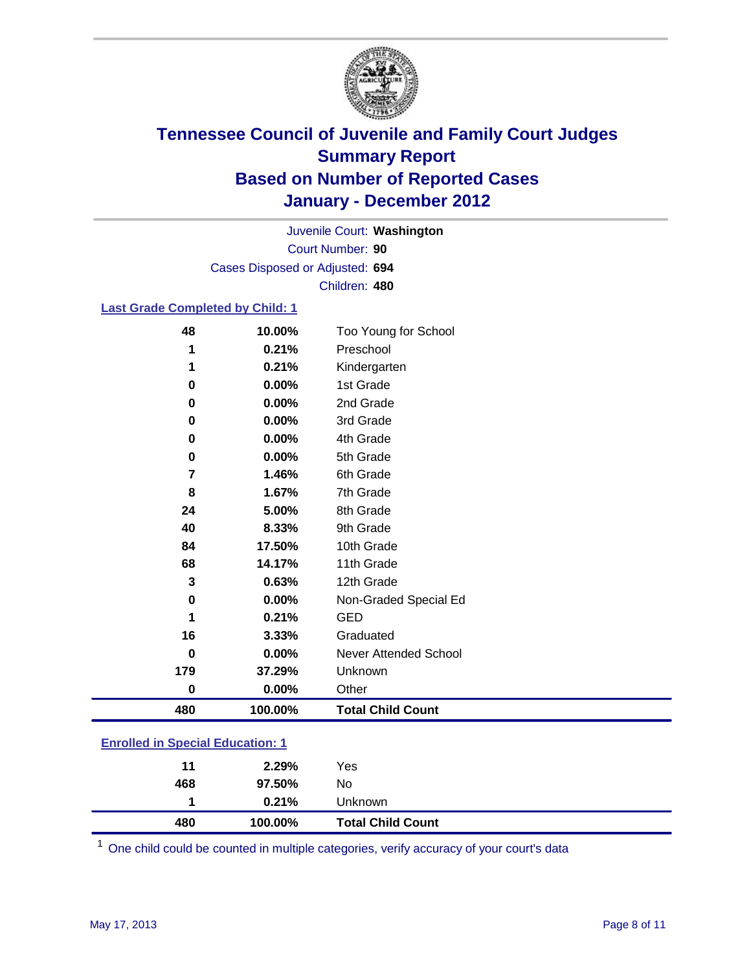

Court Number: **90** Juvenile Court: **Washington** Cases Disposed or Adjusted: **694** Children: **480**

#### **Last Grade Completed by Child: 1**

| 48                                      | 10.00%  | Too Young for School         |  |
|-----------------------------------------|---------|------------------------------|--|
| 1                                       | 0.21%   | Preschool                    |  |
| 1                                       | 0.21%   | Kindergarten                 |  |
| 0                                       | 0.00%   | 1st Grade                    |  |
| 0                                       | 0.00%   | 2nd Grade                    |  |
| 0                                       | 0.00%   | 3rd Grade                    |  |
| 0                                       | 0.00%   | 4th Grade                    |  |
| 0                                       | 0.00%   | 5th Grade                    |  |
| 7                                       | 1.46%   | 6th Grade                    |  |
| 8                                       | 1.67%   | 7th Grade                    |  |
| 24                                      | 5.00%   | 8th Grade                    |  |
| 40                                      | 8.33%   | 9th Grade                    |  |
| 84                                      | 17.50%  | 10th Grade                   |  |
| 68                                      | 14.17%  | 11th Grade                   |  |
| 3                                       | 0.63%   | 12th Grade                   |  |
| 0                                       | 0.00%   | Non-Graded Special Ed        |  |
| 1                                       | 0.21%   | <b>GED</b>                   |  |
| 16                                      | 3.33%   | Graduated                    |  |
| 0                                       | 0.00%   | <b>Never Attended School</b> |  |
| 179                                     | 37.29%  | Unknown                      |  |
| 0                                       | 0.00%   | Other                        |  |
| 480                                     | 100.00% | <b>Total Child Count</b>     |  |
| <b>Enrolled in Special Education: 1</b> |         |                              |  |

| 480                                      | 100.00% | <b>Total Child Count</b> |  |  |
|------------------------------------------|---------|--------------------------|--|--|
|                                          | 0.21%   | Unknown                  |  |  |
| 468                                      | 97.50%  | No                       |  |  |
| 11                                       | 2.29%   | Yes                      |  |  |
| <u>Einvilled in Opecial Education. T</u> |         |                          |  |  |

One child could be counted in multiple categories, verify accuracy of your court's data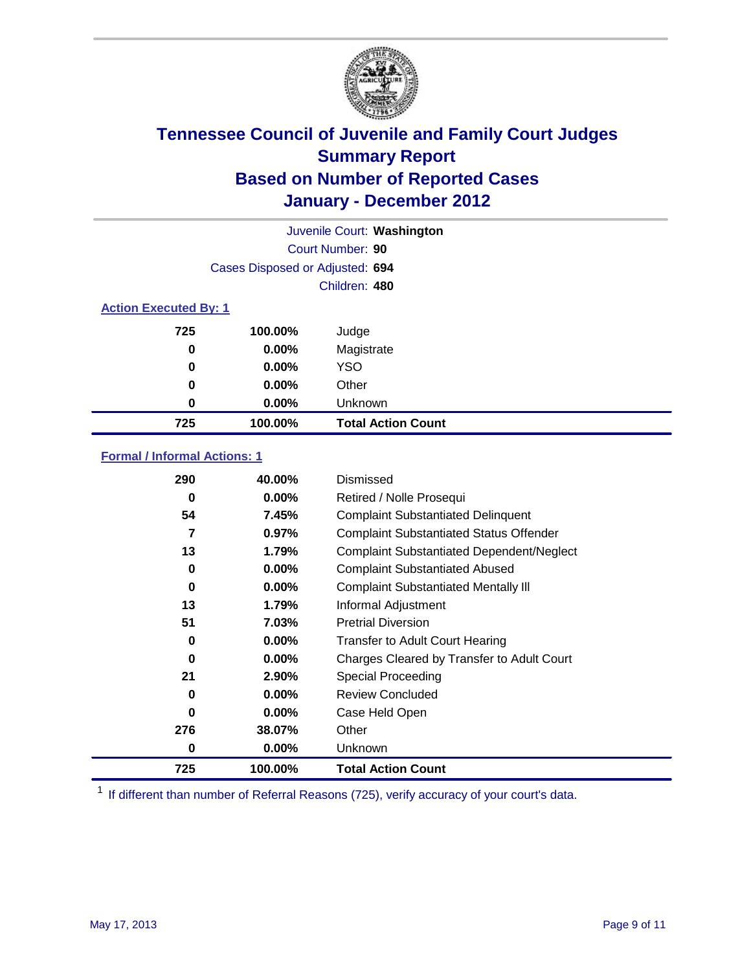

| Juvenile Court: Washington   |                                 |                           |  |  |  |
|------------------------------|---------------------------------|---------------------------|--|--|--|
|                              | Court Number: 90                |                           |  |  |  |
|                              | Cases Disposed or Adjusted: 694 |                           |  |  |  |
|                              |                                 | Children: 480             |  |  |  |
| <b>Action Executed By: 1</b> |                                 |                           |  |  |  |
| 725                          | 100.00%                         | Judge                     |  |  |  |
| 0                            | $0.00\%$                        | Magistrate                |  |  |  |
| $\bf{0}$                     | $0.00\%$                        | <b>YSO</b>                |  |  |  |
| 0                            | $0.00\%$                        | Other                     |  |  |  |
| 0                            | $0.00\%$                        | Unknown                   |  |  |  |
| 725                          | 100.00%                         | <b>Total Action Count</b> |  |  |  |

### **Formal / Informal Actions: 1**

| 290 | 40.00%   | Dismissed                                        |
|-----|----------|--------------------------------------------------|
| 0   | $0.00\%$ | Retired / Nolle Prosequi                         |
| 54  | 7.45%    | <b>Complaint Substantiated Delinquent</b>        |
| 7   | 0.97%    | <b>Complaint Substantiated Status Offender</b>   |
| 13  | 1.79%    | <b>Complaint Substantiated Dependent/Neglect</b> |
| 0   | 0.00%    | <b>Complaint Substantiated Abused</b>            |
| 0   | $0.00\%$ | <b>Complaint Substantiated Mentally III</b>      |
| 13  | 1.79%    | Informal Adjustment                              |
| 51  | 7.03%    | <b>Pretrial Diversion</b>                        |
| 0   | $0.00\%$ | <b>Transfer to Adult Court Hearing</b>           |
| 0   | $0.00\%$ | Charges Cleared by Transfer to Adult Court       |
| 21  | 2.90%    | Special Proceeding                               |
| 0   | $0.00\%$ | <b>Review Concluded</b>                          |
| 0   | $0.00\%$ | Case Held Open                                   |
| 276 | 38.07%   | Other                                            |
| 0   | $0.00\%$ | <b>Unknown</b>                                   |
| 725 | 100.00%  | <b>Total Action Count</b>                        |

<sup>1</sup> If different than number of Referral Reasons (725), verify accuracy of your court's data.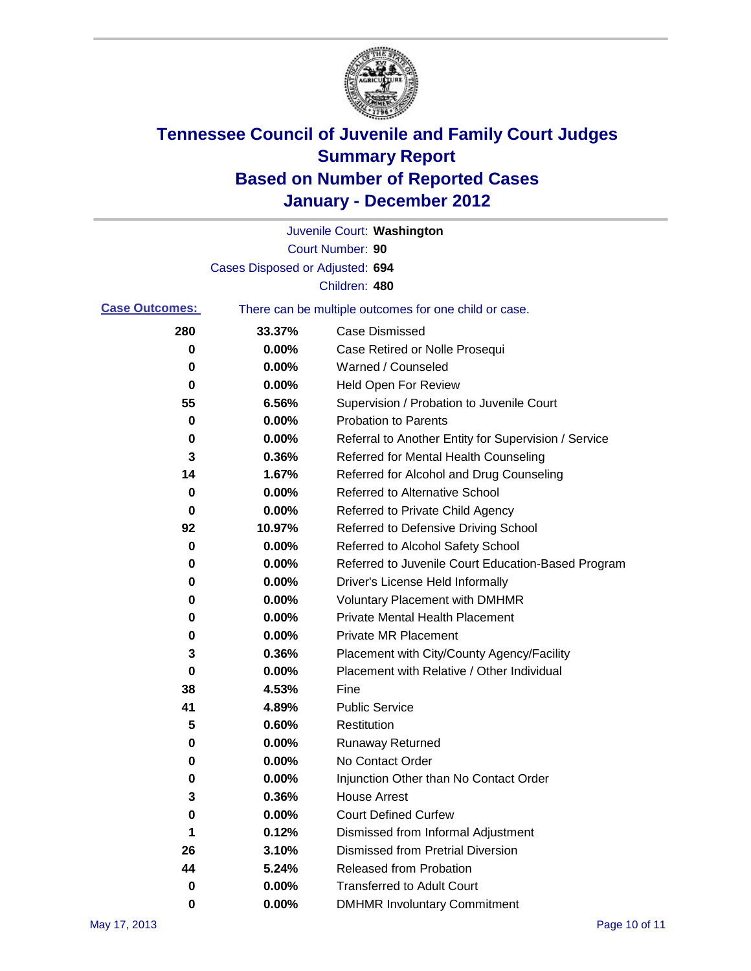

|                       |                                 | Juvenile Court: Washington                            |
|-----------------------|---------------------------------|-------------------------------------------------------|
|                       |                                 | Court Number: 90                                      |
|                       | Cases Disposed or Adjusted: 694 |                                                       |
|                       |                                 | Children: 480                                         |
| <b>Case Outcomes:</b> |                                 | There can be multiple outcomes for one child or case. |
| 280                   | 33.37%                          | <b>Case Dismissed</b>                                 |
| 0                     | 0.00%                           | Case Retired or Nolle Prosequi                        |
| 0                     | 0.00%                           | Warned / Counseled                                    |
| 0                     | 0.00%                           | Held Open For Review                                  |
| 55                    | 6.56%                           | Supervision / Probation to Juvenile Court             |
| 0                     | 0.00%                           | <b>Probation to Parents</b>                           |
| 0                     | 0.00%                           | Referral to Another Entity for Supervision / Service  |
| 3                     | 0.36%                           | Referred for Mental Health Counseling                 |
| 14                    | 1.67%                           | Referred for Alcohol and Drug Counseling              |
| 0                     | 0.00%                           | <b>Referred to Alternative School</b>                 |
| 0                     | 0.00%                           | Referred to Private Child Agency                      |
| 92                    | 10.97%                          | Referred to Defensive Driving School                  |
| 0                     | 0.00%                           | Referred to Alcohol Safety School                     |
| 0                     | 0.00%                           | Referred to Juvenile Court Education-Based Program    |
| 0                     | 0.00%                           | Driver's License Held Informally                      |
| 0                     | 0.00%                           | <b>Voluntary Placement with DMHMR</b>                 |
| 0                     | 0.00%                           | <b>Private Mental Health Placement</b>                |
| 0                     | 0.00%                           | <b>Private MR Placement</b>                           |
| 3                     | 0.36%                           | Placement with City/County Agency/Facility            |
| 0                     | 0.00%                           | Placement with Relative / Other Individual            |
| 38                    | 4.53%                           | Fine                                                  |
| 41                    | 4.89%                           | <b>Public Service</b>                                 |
| 5                     | 0.60%                           | Restitution                                           |
| 0                     | 0.00%                           | <b>Runaway Returned</b>                               |
| 0                     | 0.00%                           | No Contact Order                                      |
| 0                     | 0.00%                           | Injunction Other than No Contact Order                |
| 3                     | 0.36%                           | <b>House Arrest</b>                                   |
| 0                     | 0.00%                           | <b>Court Defined Curfew</b>                           |
| 1                     | 0.12%                           | Dismissed from Informal Adjustment                    |
| 26                    | 3.10%                           | <b>Dismissed from Pretrial Diversion</b>              |
| 44                    | 5.24%                           | Released from Probation                               |
| 0                     | 0.00%                           | <b>Transferred to Adult Court</b>                     |
| 0                     | $0.00\%$                        | <b>DMHMR Involuntary Commitment</b>                   |